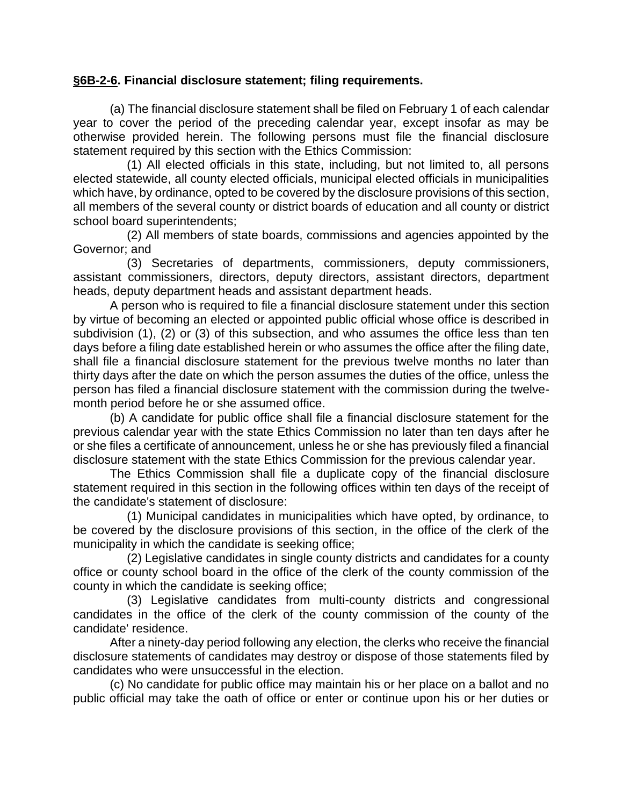## **[§6B-2-6.](http://www.legis.state.wv.us/wvcode/chapterentire.cfm?chap=6B&art=2§ion=6#01) Financial disclosure statement; filing requirements.**

(a) The financial disclosure statement shall be filed on February 1 of each calendar year to cover the period of the preceding calendar year, except insofar as may be otherwise provided herein. The following persons must file the financial disclosure statement required by this section with the Ethics Commission:

 (1) All elected officials in this state, including, but not limited to, all persons elected statewide, all county elected officials, municipal elected officials in municipalities which have, by ordinance, opted to be covered by the disclosure provisions of this section, all members of the several county or district boards of education and all county or district school board superintendents;

 (2) All members of state boards, commissions and agencies appointed by the Governor; and

 (3) Secretaries of departments, commissioners, deputy commissioners, assistant commissioners, directors, deputy directors, assistant directors, department heads, deputy department heads and assistant department heads.

A person who is required to file a financial disclosure statement under this section by virtue of becoming an elected or appointed public official whose office is described in subdivision (1), (2) or (3) of this subsection, and who assumes the office less than ten days before a filing date established herein or who assumes the office after the filing date, shall file a financial disclosure statement for the previous twelve months no later than thirty days after the date on which the person assumes the duties of the office, unless the person has filed a financial disclosure statement with the commission during the twelvemonth period before he or she assumed office.

(b) A candidate for public office shall file a financial disclosure statement for the previous calendar year with the state Ethics Commission no later than ten days after he or she files a certificate of announcement, unless he or she has previously filed a financial disclosure statement with the state Ethics Commission for the previous calendar year.

The Ethics Commission shall file a duplicate copy of the financial disclosure statement required in this section in the following offices within ten days of the receipt of the candidate's statement of disclosure:

 (1) Municipal candidates in municipalities which have opted, by ordinance, to be covered by the disclosure provisions of this section, in the office of the clerk of the municipality in which the candidate is seeking office;

 (2) Legislative candidates in single county districts and candidates for a county office or county school board in the office of the clerk of the county commission of the county in which the candidate is seeking office;

 (3) Legislative candidates from multi-county districts and congressional candidates in the office of the clerk of the county commission of the county of the candidate' residence.

After a ninety-day period following any election, the clerks who receive the financial disclosure statements of candidates may destroy or dispose of those statements filed by candidates who were unsuccessful in the election.

(c) No candidate for public office may maintain his or her place on a ballot and no public official may take the oath of office or enter or continue upon his or her duties or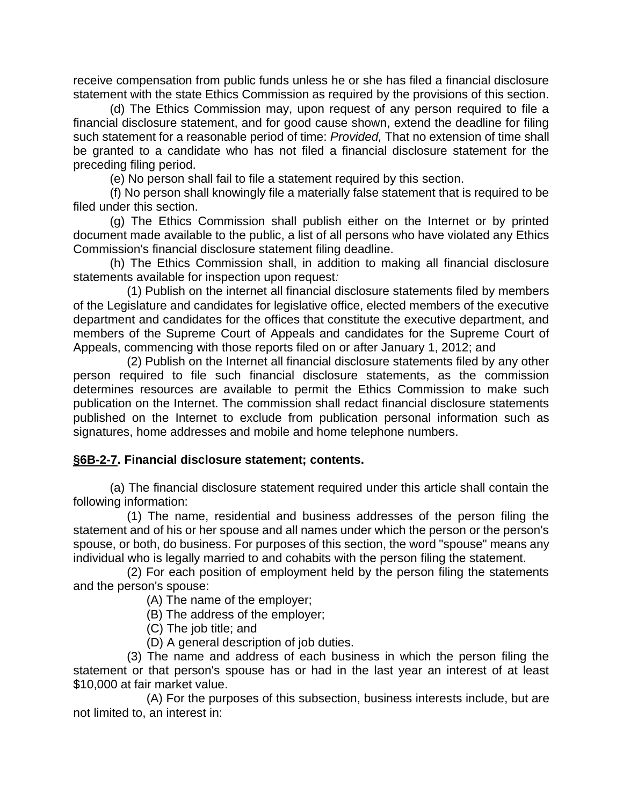receive compensation from public funds unless he or she has filed a financial disclosure statement with the state Ethics Commission as required by the provisions of this section.

(d) The Ethics Commission may, upon request of any person required to file a financial disclosure statement, and for good cause shown, extend the deadline for filing such statement for a reasonable period of time: *Provided,* That no extension of time shall be granted to a candidate who has not filed a financial disclosure statement for the preceding filing period.

(e) No person shall fail to file a statement required by this section.

(f) No person shall knowingly file a materially false statement that is required to be filed under this section.

(g) The Ethics Commission shall publish either on the Internet or by printed document made available to the public, a list of all persons who have violated any Ethics Commission's financial disclosure statement filing deadline.

(h) The Ethics Commission shall, in addition to making all financial disclosure statements available for inspection upon request*:*

 (1) Publish on the internet all financial disclosure statements filed by members of the Legislature and candidates for legislative office, elected members of the executive department and candidates for the offices that constitute the executive department, and members of the Supreme Court of Appeals and candidates for the Supreme Court of Appeals, commencing with those reports filed on or after January 1, 2012; and

 (2) Publish on the Internet all financial disclosure statements filed by any other person required to file such financial disclosure statements, as the commission determines resources are available to permit the Ethics Commission to make such publication on the Internet. The commission shall redact financial disclosure statements published on the Internet to exclude from publication personal information such as signatures, home addresses and mobile and home telephone numbers.

## **§6B-2-7. Financial disclosure statement; contents.**

(a) The financial disclosure statement required under this article shall contain the following information:

 (1) The name, residential and business addresses of the person filing the statement and of his or her spouse and all names under which the person or the person's spouse, or both, do business. For purposes of this section, the word "spouse" means any individual who is legally married to and cohabits with the person filing the statement.

 (2) For each position of employment held by the person filing the statements and the person's spouse:

(A) The name of the employer;

(B) The address of the employer;

(C) The job title; and

(D) A general description of job duties.

 (3) The name and address of each business in which the person filing the statement or that person's spouse has or had in the last year an interest of at least \$10,000 at fair market value.

 (A) For the purposes of this subsection, business interests include, but are not limited to, an interest in: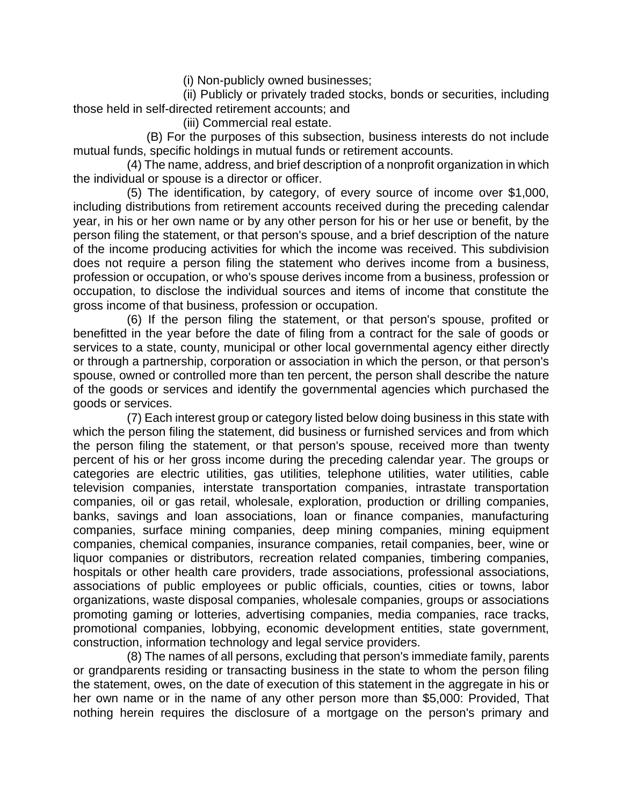(i) Non-publicly owned businesses;

 (ii) Publicly or privately traded stocks, bonds or securities, including those held in self-directed retirement accounts; and

(iii) Commercial real estate.

 (B) For the purposes of this subsection, business interests do not include mutual funds, specific holdings in mutual funds or retirement accounts.

 (4) The name, address, and brief description of a nonprofit organization in which the individual or spouse is a director or officer.

 (5) The identification, by category, of every source of income over \$1,000, including distributions from retirement accounts received during the preceding calendar year, in his or her own name or by any other person for his or her use or benefit, by the person filing the statement, or that person's spouse, and a brief description of the nature of the income producing activities for which the income was received. This subdivision does not require a person filing the statement who derives income from a business, profession or occupation, or who's spouse derives income from a business, profession or occupation, to disclose the individual sources and items of income that constitute the gross income of that business, profession or occupation.

 (6) If the person filing the statement, or that person's spouse, profited or benefitted in the year before the date of filing from a contract for the sale of goods or services to a state, county, municipal or other local governmental agency either directly or through a partnership, corporation or association in which the person, or that person's spouse, owned or controlled more than ten percent, the person shall describe the nature of the goods or services and identify the governmental agencies which purchased the goods or services.

 (7) Each interest group or category listed below doing business in this state with which the person filing the statement, did business or furnished services and from which the person filing the statement, or that person's spouse, received more than twenty percent of his or her gross income during the preceding calendar year. The groups or categories are electric utilities, gas utilities, telephone utilities, water utilities, cable television companies, interstate transportation companies, intrastate transportation companies, oil or gas retail, wholesale, exploration, production or drilling companies, banks, savings and loan associations, loan or finance companies, manufacturing companies, surface mining companies, deep mining companies, mining equipment companies, chemical companies, insurance companies, retail companies, beer, wine or liquor companies or distributors, recreation related companies, timbering companies, hospitals or other health care providers, trade associations, professional associations, associations of public employees or public officials, counties, cities or towns, labor organizations, waste disposal companies, wholesale companies, groups or associations promoting gaming or lotteries, advertising companies, media companies, race tracks, promotional companies, lobbying, economic development entities, state government, construction, information technology and legal service providers.

 (8) The names of all persons, excluding that person's immediate family, parents or grandparents residing or transacting business in the state to whom the person filing the statement, owes, on the date of execution of this statement in the aggregate in his or her own name or in the name of any other person more than \$5,000: Provided, That nothing herein requires the disclosure of a mortgage on the person's primary and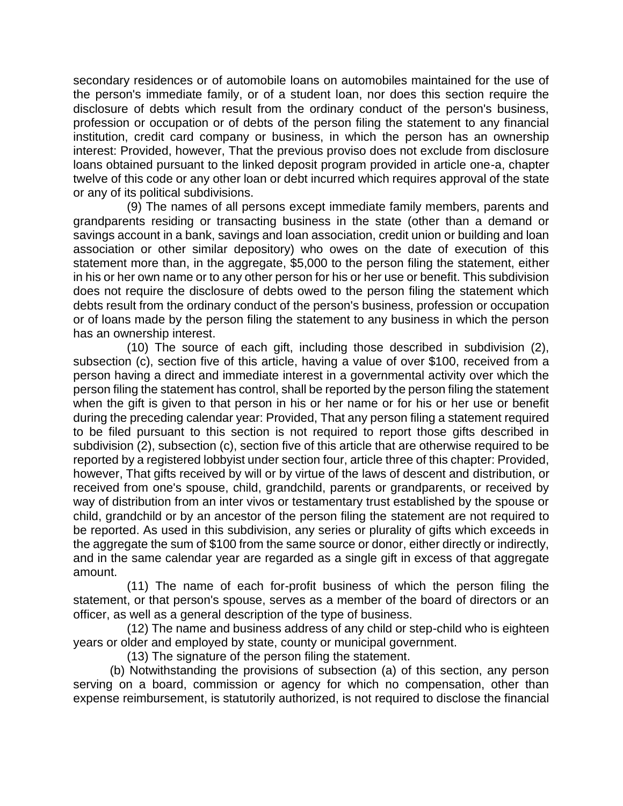secondary residences or of automobile loans on automobiles maintained for the use of the person's immediate family, or of a student loan, nor does this section require the disclosure of debts which result from the ordinary conduct of the person's business, profession or occupation or of debts of the person filing the statement to any financial institution, credit card company or business, in which the person has an ownership interest: Provided, however, That the previous proviso does not exclude from disclosure loans obtained pursuant to the linked deposit program provided in article one-a, chapter twelve of this code or any other loan or debt incurred which requires approval of the state or any of its political subdivisions.

 (9) The names of all persons except immediate family members, parents and grandparents residing or transacting business in the state (other than a demand or savings account in a bank, savings and loan association, credit union or building and loan association or other similar depository) who owes on the date of execution of this statement more than, in the aggregate, \$5,000 to the person filing the statement, either in his or her own name or to any other person for his or her use or benefit. This subdivision does not require the disclosure of debts owed to the person filing the statement which debts result from the ordinary conduct of the person's business, profession or occupation or of loans made by the person filing the statement to any business in which the person has an ownership interest.

 (10) The source of each gift, including those described in subdivision (2), subsection (c), section five of this article, having a value of over \$100, received from a person having a direct and immediate interest in a governmental activity over which the person filing the statement has control, shall be reported by the person filing the statement when the gift is given to that person in his or her name or for his or her use or benefit during the preceding calendar year: Provided, That any person filing a statement required to be filed pursuant to this section is not required to report those gifts described in subdivision (2), subsection (c), section five of this article that are otherwise required to be reported by a registered lobbyist under section four, article three of this chapter: Provided, however, That gifts received by will or by virtue of the laws of descent and distribution, or received from one's spouse, child, grandchild, parents or grandparents, or received by way of distribution from an inter vivos or testamentary trust established by the spouse or child, grandchild or by an ancestor of the person filing the statement are not required to be reported. As used in this subdivision, any series or plurality of gifts which exceeds in the aggregate the sum of \$100 from the same source or donor, either directly or indirectly, and in the same calendar year are regarded as a single gift in excess of that aggregate amount.

 (11) The name of each for-profit business of which the person filing the statement, or that person's spouse, serves as a member of the board of directors or an officer, as well as a general description of the type of business.

 (12) The name and business address of any child or step-child who is eighteen years or older and employed by state, county or municipal government.

(13) The signature of the person filing the statement.

(b) Notwithstanding the provisions of subsection (a) of this section, any person serving on a board, commission or agency for which no compensation, other than expense reimbursement, is statutorily authorized, is not required to disclose the financial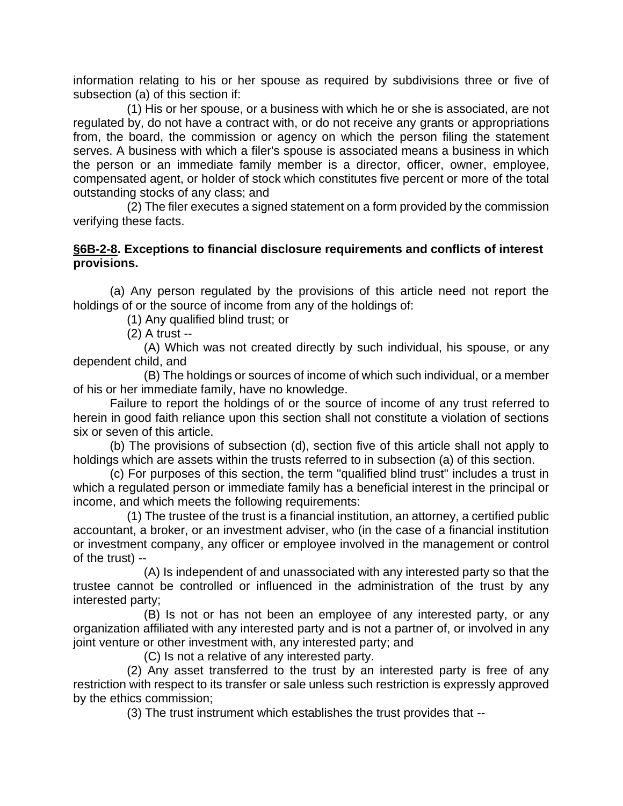information relating to his or her spouse as required by subdivisions three or five of subsection (a) of this section if:

 (1) His or her spouse, or a business with which he or she is associated, are not regulated by, do not have a contract with, or do not receive any grants or appropriations from, the board, the commission or agency on which the person filing the statement serves. A business with which a filer's spouse is associated means a business in which the person or an immediate family member is a director, officer, owner, employee, compensated agent, or holder of stock which constitutes five percent or more of the total outstanding stocks of any class; and

 (2) The filer executes a signed statement on a form provided by the commission verifying these facts.

## **§6B-2-8. Exceptions to financial disclosure requirements and conflicts of interest provisions.**

(a) Any person regulated by the provisions of this article need not report the holdings of or the source of income from any of the holdings of:

(1) Any qualified blind trust; or

(2) A trust --

 (A) Which was not created directly by such individual, his spouse, or any dependent child, and

 (B) The holdings or sources of income of which such individual, or a member of his or her immediate family, have no knowledge.

Failure to report the holdings of or the source of income of any trust referred to herein in good faith reliance upon this section shall not constitute a violation of sections six or seven of this article.

(b) The provisions of subsection (d), section five of this article shall not apply to holdings which are assets within the trusts referred to in subsection (a) of this section.

(c) For purposes of this section, the term "qualified blind trust" includes a trust in which a regulated person or immediate family has a beneficial interest in the principal or income, and which meets the following requirements:

 (1) The trustee of the trust is a financial institution, an attorney, a certified public accountant, a broker, or an investment adviser, who (in the case of a financial institution or investment company, any officer or employee involved in the management or control of the trust) --

 (A) Is independent of and unassociated with any interested party so that the trustee cannot be controlled or influenced in the administration of the trust by any interested party;

 (B) Is not or has not been an employee of any interested party, or any organization affiliated with any interested party and is not a partner of, or involved in any joint venture or other investment with, any interested party; and

(C) Is not a relative of any interested party.

 (2) Any asset transferred to the trust by an interested party is free of any restriction with respect to its transfer or sale unless such restriction is expressly approved by the ethics commission;

(3) The trust instrument which establishes the trust provides that --